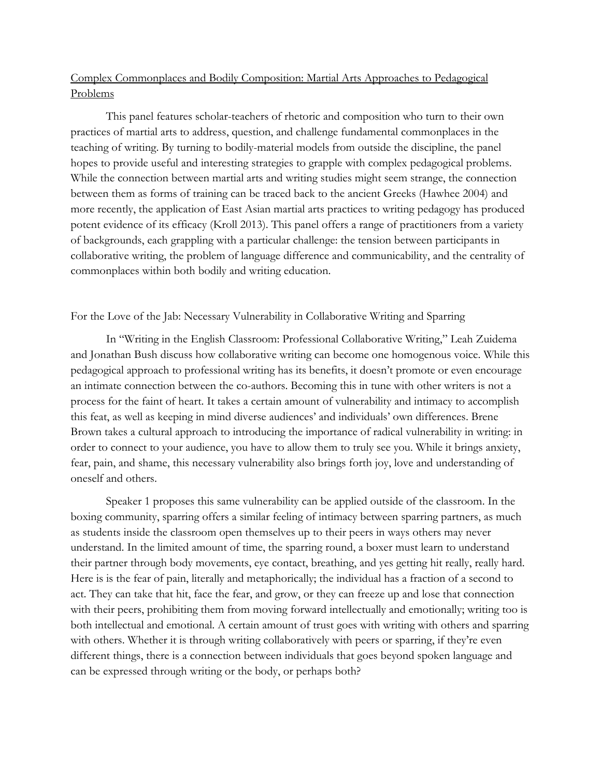## Complex Commonplaces and Bodily Composition: Martial Arts Approaches to Pedagogical Problems

This panel features scholar-teachers of rhetoric and composition who turn to their own practices of martial arts to address, question, and challenge fundamental commonplaces in the teaching of writing. By turning to bodily-material models from outside the discipline, the panel hopes to provide useful and interesting strategies to grapple with complex pedagogical problems. While the connection between martial arts and writing studies might seem strange, the connection between them as forms of training can be traced back to the ancient Greeks (Hawhee 2004) and more recently, the application of East Asian martial arts practices to writing pedagogy has produced potent evidence of its efficacy (Kroll 2013). This panel offers a range of practitioners from a variety of backgrounds, each grappling with a particular challenge: the tension between participants in collaborative writing, the problem of language difference and communicability, and the centrality of commonplaces within both bodily and writing education.

## For the Love of the Jab: Necessary Vulnerability in Collaborative Writing and Sparring

In "Writing in the English Classroom: Professional Collaborative Writing," Leah Zuidema and Jonathan Bush discuss how collaborative writing can become one homogenous voice. While this pedagogical approach to professional writing has its benefits, it doesn't promote or even encourage an intimate connection between the co-authors. Becoming this in tune with other writers is not a process for the faint of heart. It takes a certain amount of vulnerability and intimacy to accomplish this feat, as well as keeping in mind diverse audiences' and individuals' own differences. Brene Brown takes a cultural approach to introducing the importance of radical vulnerability in writing: in order to connect to your audience, you have to allow them to truly see you. While it brings anxiety, fear, pain, and shame, this necessary vulnerability also brings forth joy, love and understanding of oneself and others.

Speaker 1 proposes this same vulnerability can be applied outside of the classroom. In the boxing community, sparring offers a similar feeling of intimacy between sparring partners, as much as students inside the classroom open themselves up to their peers in ways others may never understand. In the limited amount of time, the sparring round, a boxer must learn to understand their partner through body movements, eye contact, breathing, and yes getting hit really, really hard. Here is is the fear of pain, literally and metaphorically; the individual has a fraction of a second to act. They can take that hit, face the fear, and grow, or they can freeze up and lose that connection with their peers, prohibiting them from moving forward intellectually and emotionally; writing too is both intellectual and emotional. A certain amount of trust goes with writing with others and sparring with others. Whether it is through writing collaboratively with peers or sparring, if they're even different things, there is a connection between individuals that goes beyond spoken language and can be expressed through writing or the body, or perhaps both?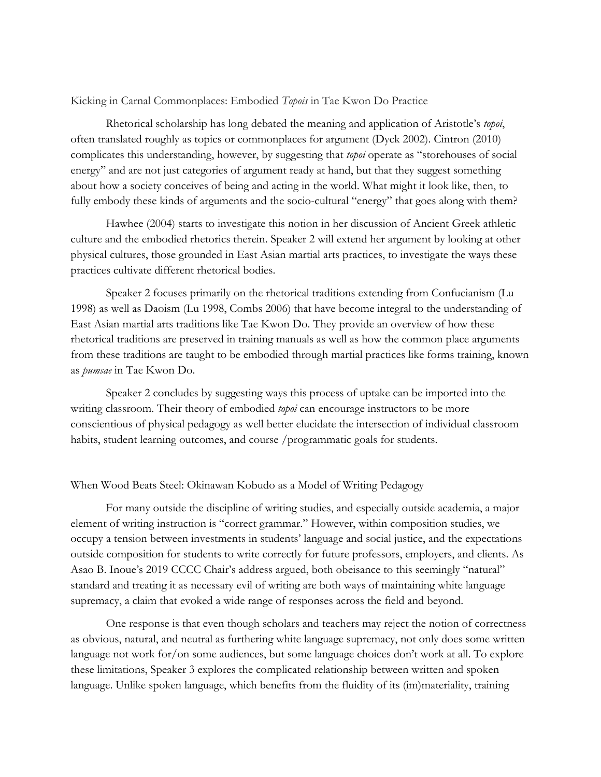Kicking in Carnal Commonplaces: Embodied *Topois* in Tae Kwon Do Practice

Rhetorical scholarship has long debated the meaning and application of Aristotle's *topoi*, often translated roughly as topics or commonplaces for argument (Dyck 2002). Cintron (2010) complicates this understanding, however, by suggesting that *topoi* operate as "storehouses of social energy" and are not just categories of argument ready at hand, but that they suggest something about how a society conceives of being and acting in the world. What might it look like, then, to fully embody these kinds of arguments and the socio-cultural "energy" that goes along with them?

Hawhee (2004) starts to investigate this notion in her discussion of Ancient Greek athletic culture and the embodied rhetorics therein. Speaker 2 will extend her argument by looking at other physical cultures, those grounded in East Asian martial arts practices, to investigate the ways these practices cultivate different rhetorical bodies.

Speaker 2 focuses primarily on the rhetorical traditions extending from Confucianism (Lu 1998) as well as Daoism (Lu 1998, Combs 2006) that have become integral to the understanding of East Asian martial arts traditions like Tae Kwon Do. They provide an overview of how these rhetorical traditions are preserved in training manuals as well as how the common place arguments from these traditions are taught to be embodied through martial practices like forms training, known as *pumsae* in Tae Kwon Do.

Speaker 2 concludes by suggesting ways this process of uptake can be imported into the writing classroom. Their theory of embodied *topoi* can encourage instructors to be more conscientious of physical pedagogy as well better elucidate the intersection of individual classroom habits, student learning outcomes, and course /programmatic goals for students.

## When Wood Beats Steel: Okinawan Kobudo as a Model of Writing Pedagogy

For many outside the discipline of writing studies, and especially outside academia, a major element of writing instruction is "correct grammar." However, within composition studies, we occupy a tension between investments in students' language and social justice, and the expectations outside composition for students to write correctly for future professors, employers, and clients. As Asao B. Inoue's 2019 CCCC Chair's address argued, both obeisance to this seemingly "natural" standard and treating it as necessary evil of writing are both ways of maintaining white language supremacy, a claim that evoked a wide range of responses across the field and beyond.

One response is that even though scholars and teachers may reject the notion of correctness as obvious, natural, and neutral as furthering white language supremacy, not only does some written language not work for/on some audiences, but some language choices don't work at all. To explore these limitations, Speaker 3 explores the complicated relationship between written and spoken language. Unlike spoken language, which benefits from the fluidity of its (im)materiality, training